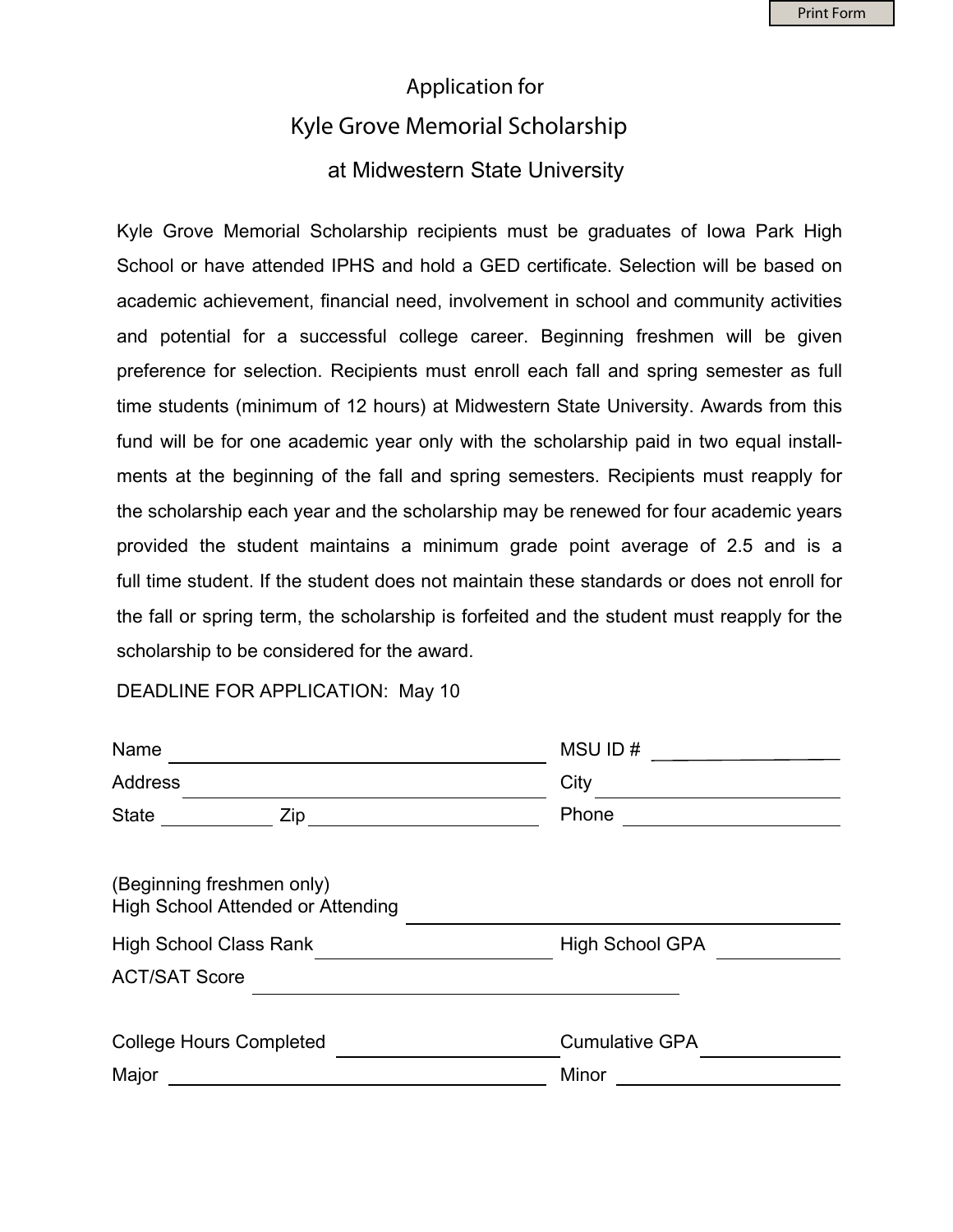## Application for Kyle Grove Memorial Scholarship at Midwestern State University

Kyle Grove Memorial Scholarship recipients must be graduates of Iowa Park High School or have attended IPHS and hold a GED certificate. Selection will be based on academic achievement, financial need, involvement in school and community activities and potential for a successful college career. Beginning freshmen will be given preference for selection. Recipients must enroll each fall and spring semester as full time students (minimum of 12 hours) at Midwestern State University. Awards from this fund will be for one academic year only with the scholarship paid in two equal installments at the beginning of the fall and spring semesters. Recipients must reapply for the scholarship each year and the scholarship may be renewed for four academic years provided the student maintains a minimum grade point average of 2.5 and is a full time student. If the student does not maintain these standards or does not enroll for the fall or spring term, the scholarship is forfeited and the student must reapply for the scholarship to be considered for the award.

DEADLINE FOR APPLICATION: May 10

| Name<br><b>Address</b><br>State ________ | MSU ID#<br>City<br>Phone |                                                                |                        |
|------------------------------------------|--------------------------|----------------------------------------------------------------|------------------------|
|                                          |                          | (Beginning freshmen only)<br>High School Attended or Attending |                        |
|                                          |                          | <b>High School Class Rank</b>                                  | <b>High School GPA</b> |
| <b>ACT/SAT Score</b>                     |                          |                                                                |                        |
| <b>College Hours Completed</b>           | <b>Cumulative GPA</b>    |                                                                |                        |
| Major                                    | Minor                    |                                                                |                        |